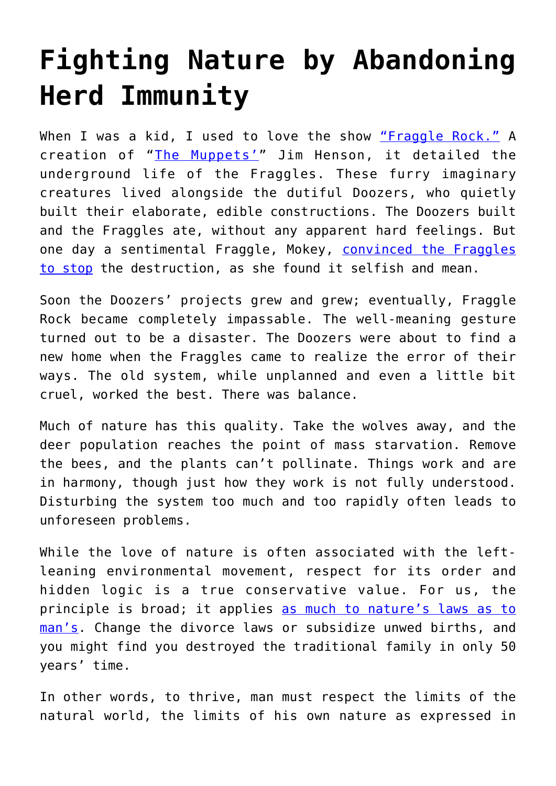## **[Fighting Nature by Abandoning](https://intellectualtakeout.org/2020/08/fighting-nature-by-abandoning-herd-immunity/) [Herd Immunity](https://intellectualtakeout.org/2020/08/fighting-nature-by-abandoning-herd-immunity/)**

When I was a kid, I used to love the show ["Fraggle Rock."](https://en.wikipedia.org/wiki/Fraggle_Rock) A creation of "[The Muppets'](https://en.wikipedia.org/wiki/The_Muppets)" Jim Henson, it detailed the underground life of the Fraggles. These furry imaginary creatures lived alongside the dutiful Doozers, who quietly built their elaborate, edible constructions. The Doozers built and the Fraggles ate, without any apparent hard feelings. But one day a sentimental Fraggle, Mokey, [convinced the Fraggles](https://youtu.be/0nIsVEk0iBM?t=207) [to stop](https://youtu.be/0nIsVEk0iBM?t=207) the destruction, as she found it selfish and mean.

Soon the Doozers' projects grew and grew; eventually, Fraggle Rock became completely impassable. The well-meaning gesture turned out to be a disaster. The Doozers were about to find a new home when the Fraggles came to realize the error of their ways. The old system, while unplanned and even a little bit cruel, worked the best. There was balance.

Much of nature has this quality. Take the wolves away, and the deer population reaches the point of mass starvation. Remove the bees, and the plants can't pollinate. Things work and are in harmony, though just how they work is not fully understood. Disturbing the system too much and too rapidly often leads to unforeseen problems.

While the love of nature is often associated with the leftleaning environmental movement, respect for its order and hidden logic is a true conservative value. For us, the principle is broad; it applies [as much to nature's laws as to](https://amgreatness.com/2017/06/28/theres-one-way-destroy-environment/) [man's](https://amgreatness.com/2017/06/28/theres-one-way-destroy-environment/). Change the divorce laws or subsidize unwed births, and you might find you destroyed the traditional family in only 50 years' time.

In other words, to thrive, man must respect the limits of the natural world, the limits of his own nature as expressed in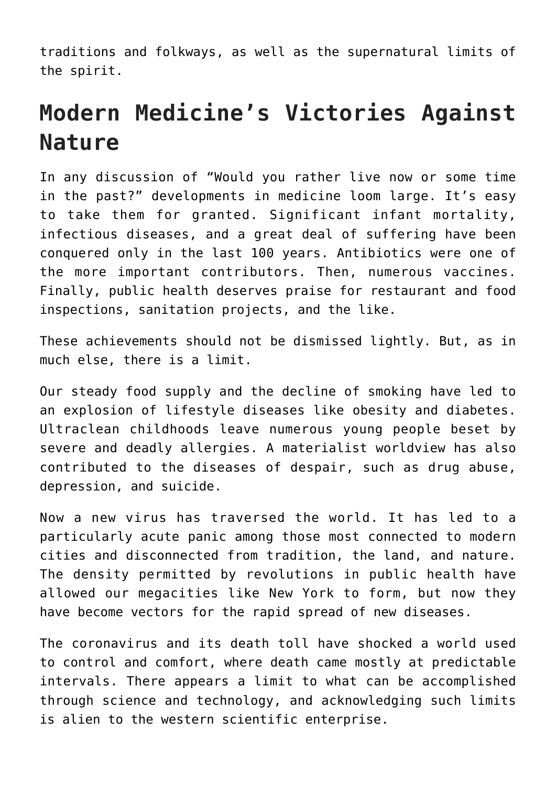traditions and folkways, as well as the supernatural limits of the spirit.

## **Modern Medicine's Victories Against Nature**

In any discussion of "Would you rather live now or some time in the past?" developments in medicine loom large. It's easy to take them for granted. Significant infant mortality, infectious diseases, and a great deal of suffering have been conquered only in the last 100 years. Antibiotics were one of the more important contributors. Then, numerous vaccines. Finally, public health deserves praise for restaurant and food inspections, sanitation projects, and the like.

These achievements should not be dismissed lightly. But, as in much else, there is a limit.

Our steady food supply and the decline of smoking have led to an explosion of lifestyle diseases like obesity and diabetes. Ultraclean childhoods leave numerous young people beset by severe and deadly allergies. A materialist worldview has also contributed to the diseases of despair, such as drug abuse, depression, and suicide.

Now a new virus has traversed the world. It has led to a particularly acute panic among those most connected to modern cities and disconnected from tradition, the land, and nature. The density permitted by revolutions in public health have allowed our megacities like New York to form, but now they have become vectors for the rapid spread of new diseases.

The coronavirus and its death toll have shocked a world used to control and comfort, where death came mostly at predictable intervals. There appears a limit to what can be accomplished through science and technology, and acknowledging such limits is alien to the western scientific enterprise.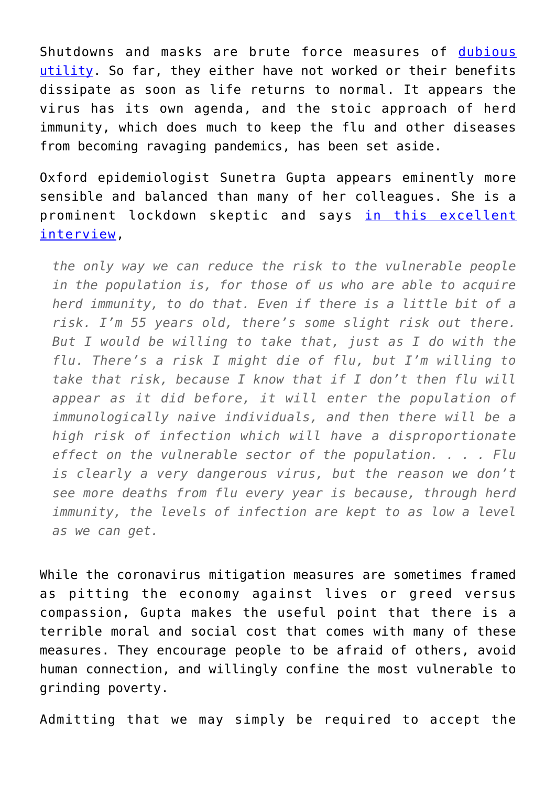Shutdowns and masks are brute force measures of [dubious](https://www.wsj.com/articles/do-lockdowns-save-many-lives-is-most-places-the-data-say-no-11587930911) [utility.](https://www.wsj.com/articles/do-lockdowns-save-many-lives-is-most-places-the-data-say-no-11587930911) So far, they either have not worked or their benefits dissipate as soon as life returns to normal. It appears the virus has its own agenda, and the stoic approach of herd immunity, which does much to keep the flu and other diseases from becoming ravaging pandemics, has been set aside.

Oxford epidemiologist Sunetra Gupta appears eminently more sensible and balanced than many of her colleagues. She is a prominent lockdown skeptic and says [in this excellent](https://reaction.life/we-may-already-have-herd-immunity-an-interview-with-professor-sunetra-gupta/) [interview,](https://reaction.life/we-may-already-have-herd-immunity-an-interview-with-professor-sunetra-gupta/)

*the only way we can reduce the risk to the vulnerable people in the population is, for those of us who are able to acquire herd immunity, to do that. Even if there is a little bit of a risk. I'm 55 years old, there's some slight risk out there. But I would be willing to take that, just as I do with the flu. There's a risk I might die of flu, but I'm willing to take that risk, because I know that if I don't then flu will appear as it did before, it will enter the population of immunologically naive individuals, and then there will be a high risk of infection which will have a disproportionate effect on the vulnerable sector of the population. . . . Flu is clearly a very dangerous virus, but the reason we don't see more deaths from flu every year is because, through herd immunity, the levels of infection are kept to as low a level as we can get.*

While the coronavirus mitigation measures are sometimes framed as pitting the economy against lives or greed versus compassion, Gupta makes the useful point that there is a terrible moral and social cost that comes with many of these measures. They encourage people to be afraid of others, avoid human connection, and willingly confine the most vulnerable to grinding poverty.

Admitting that we may simply be required to accept the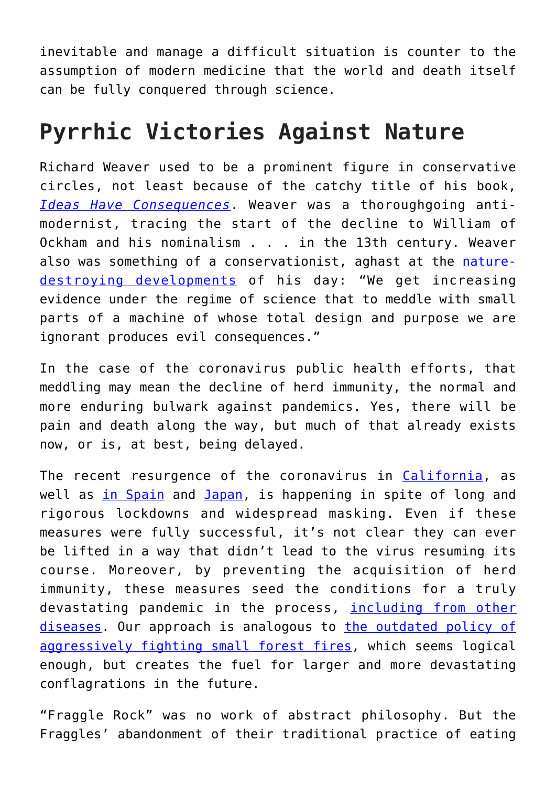inevitable and manage a difficult situation is counter to the assumption of modern medicine that the world and death itself can be fully conquered through science.

## **Pyrrhic Victories Against Nature**

Richard Weaver used to be a prominent figure in conservative circles, not least because of the catchy title of his book, *[Ideas Have Consequences](https://www.amazon.com/gp/product/022609006X/ref=as_li_tl?ie=UTF8&camp=1789&creative=9325&creativeASIN=022609006X&linkCode=as2&tag=intelltakeo0d-20&linkId=0fe5424212933d36ac9e6d46812f1c2b)*. Weaver was a thoroughgoing antimodernist, tracing the start of the decline to William of Ockham and his nominalism . . . in the 13th century. Weaver also was something of a conservationist, aghast at the [nature](https://www.tva.com/about-tva/our-history/built-for-the-people/the-lost-towns-of-pickwick)[destroying developments](https://www.tva.com/about-tva/our-history/built-for-the-people/the-lost-towns-of-pickwick) of his day: "We get increasing evidence under the regime of science that to meddle with small parts of a machine of whose total design and purpose we are ignorant produces evil consequences."

In the case of the coronavirus public health efforts, that meddling may mean the decline of herd immunity, the normal and more enduring bulwark against pandemics. Yes, there will be pain and death along the way, but much of that already exists now, or is, at best, being delayed.

The recent resurgence of the coronavirus in [California](https://covidtracking.com/data/state/california), as well as [in Spain](https://www.worldometers.info/coronavirus/country/spain/) and [Japan](https://www.worldometers.info/coronavirus/country/japan/), is happening in spite of long and rigorous lockdowns and widespread masking. Even if these measures were fully successful, it's not clear they can ever be lifted in a way that didn't lead to the virus resuming its course. Moreover, by preventing the acquisition of herd immunity, these measures seed the conditions for a truly devastating pandemic in the process, [including from other](https://www.reuters.com/article/us-health-coronavirus-flu/remember-the-flu-coronavirus-sent-it-into-hiding-but-at-a-cost-idUSKBN2221PG) [diseases.](https://www.reuters.com/article/us-health-coronavirus-flu/remember-the-flu-coronavirus-sent-it-into-hiding-but-at-a-cost-idUSKBN2221PG) Our approach is analogous to [the outdated policy of](https://www.washingtonpost.com/opinions/no-we-cant--and-shouldnt--stop-forest-fires/2017/09/26/64ff718c-9fbf-11e7-9c8d-cf053ff30921_story.html) [aggressively fighting small forest fires,](https://www.washingtonpost.com/opinions/no-we-cant--and-shouldnt--stop-forest-fires/2017/09/26/64ff718c-9fbf-11e7-9c8d-cf053ff30921_story.html) which seems logical enough, but creates the fuel for larger and more devastating conflagrations in the future.

"Fraggle Rock" was no work of abstract philosophy. But the Fraggles' abandonment of their traditional practice of eating